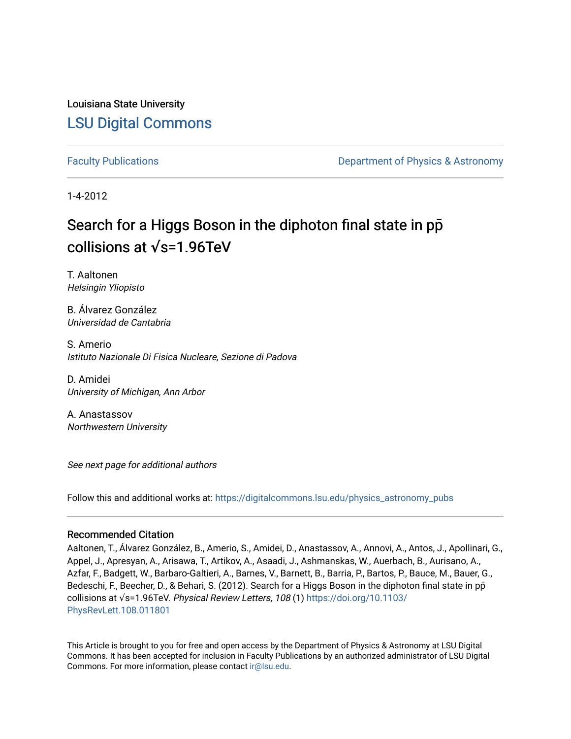Louisiana State University [LSU Digital Commons](https://digitalcommons.lsu.edu/)

[Faculty Publications](https://digitalcommons.lsu.edu/physics_astronomy_pubs) **Example 2** Constant Department of Physics & Astronomy

1-4-2012

## Search for a Higgs Boson in the diphoton final state in pp**̄** collisions at **√**s=1.96TeV

T. Aaltonen Helsingin Yliopisto

B. Álvarez González Universidad de Cantabria

S. Amerio Istituto Nazionale Di Fisica Nucleare, Sezione di Padova

D. Amidei University of Michigan, Ann Arbor

A. Anastassov Northwestern University

See next page for additional authors

Follow this and additional works at: [https://digitalcommons.lsu.edu/physics\\_astronomy\\_pubs](https://digitalcommons.lsu.edu/physics_astronomy_pubs?utm_source=digitalcommons.lsu.edu%2Fphysics_astronomy_pubs%2F2328&utm_medium=PDF&utm_campaign=PDFCoverPages) 

#### Recommended Citation

Aaltonen, T., Álvarez González, B., Amerio, S., Amidei, D., Anastassov, A., Annovi, A., Antos, J., Apollinari, G., Appel, J., Apresyan, A., Arisawa, T., Artikov, A., Asaadi, J., Ashmanskas, W., Auerbach, B., Aurisano, A., Azfar, F., Badgett, W., Barbaro-Galtieri, A., Barnes, V., Barnett, B., Barria, P., Bartos, P., Bauce, M., Bauer, G., Bedeschi, F., Beecher, D., & Behari, S. (2012). Search for a Higgs Boson in the diphoton final state in pp collisions at √s=1.96TeV. Physical Review Letters, 108 (1) [https://doi.org/10.1103/](https://doi.org/10.1103/PhysRevLett.108.011801) [PhysRevLett.108.011801](https://doi.org/10.1103/PhysRevLett.108.011801) 

This Article is brought to you for free and open access by the Department of Physics & Astronomy at LSU Digital Commons. It has been accepted for inclusion in Faculty Publications by an authorized administrator of LSU Digital Commons. For more information, please contact [ir@lsu.edu](mailto:ir@lsu.edu).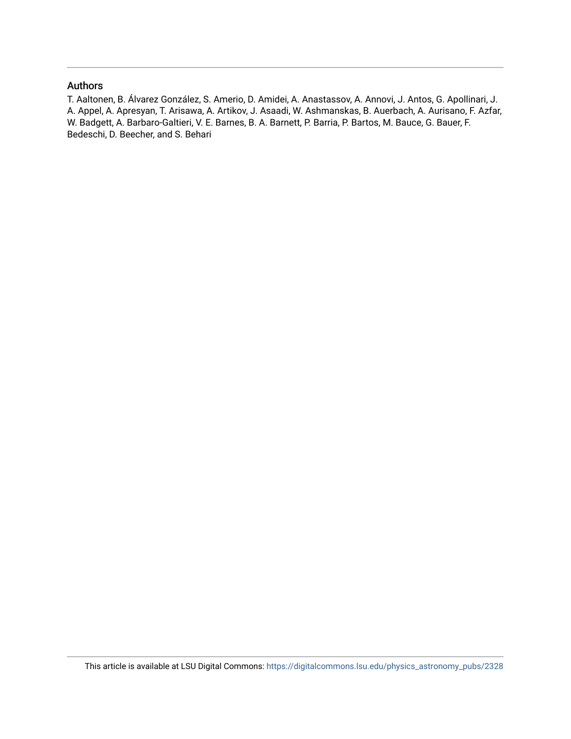### Authors

T. Aaltonen, B. Álvarez González, S. Amerio, D. Amidei, A. Anastassov, A. Annovi, J. Antos, G. Apollinari, J. A. Appel, A. Apresyan, T. Arisawa, A. Artikov, J. Asaadi, W. Ashmanskas, B. Auerbach, A. Aurisano, F. Azfar, W. Badgett, A. Barbaro-Galtieri, V. E. Barnes, B. A. Barnett, P. Barria, P. Bartos, M. Bauce, G. Bauer, F. Bedeschi, D. Beecher, and S. Behari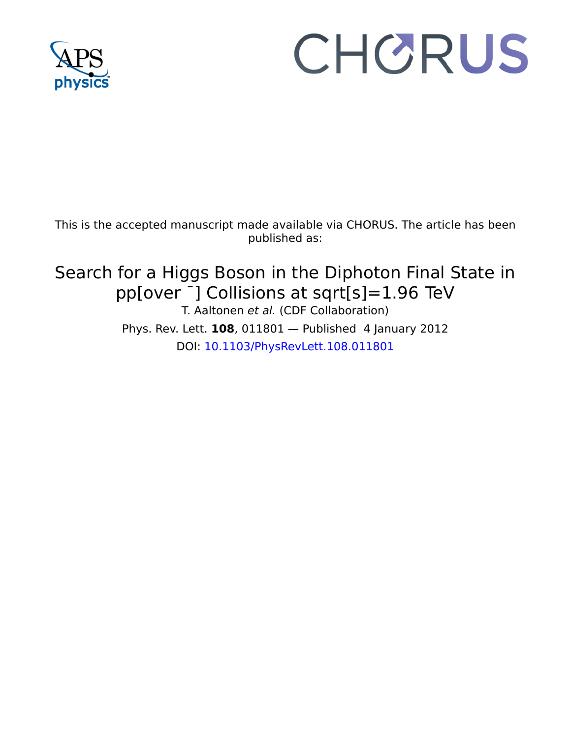

# CHORUS

This is the accepted manuscript made available via CHORUS. The article has been published as:

## Search for a Higgs Boson in the Diphoton Final State in pp[over ¯] Collisions at sqrt[s]=1.96  TeV T. Aaltonen et al. (CDF Collaboration)

Phys. Rev. Lett. **108**, 011801 — Published 4 January 2012 DOI: [10.1103/PhysRevLett.108.011801](http://dx.doi.org/10.1103/PhysRevLett.108.011801)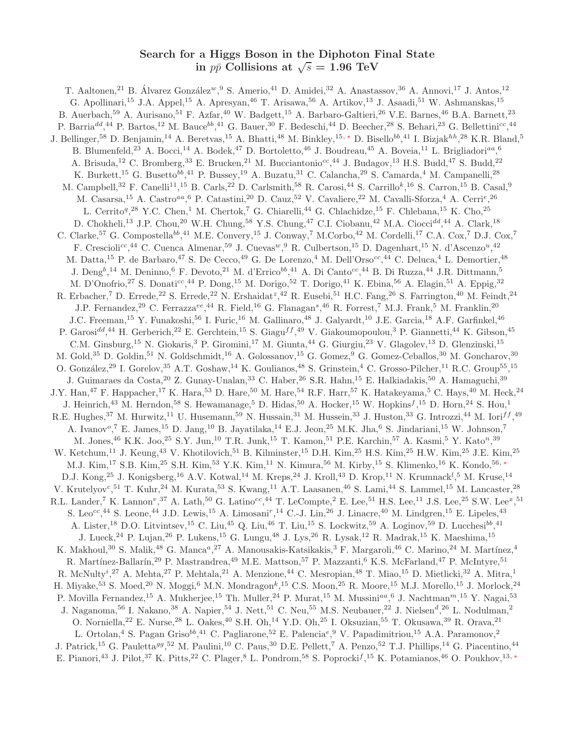### Search for a Higgs Boson in the Diphoton Final State in  $p\bar{p}$  Collisions at  $\sqrt{s} = 1.96 \text{ TeV}$

<sup>13</sup> J.P. Chou,<sup>20</sup> W.H. Chung,<sup>58</sup> Y.S. Chung,<sup>47</sup> C.I. Ciobanu,<sup>42</sup><br>Compostella<sup>bb</sup>,<sup>41</sup> M.E. Convery,<sup>15</sup> J. Conway,<sup>7</sup> M.Corbo,<sup>42</sup> M.<br>
<sup>e</sup>,<sup>44</sup> C. Cuenca Almenar,<sup>59</sup> J. Cuevas<sup>*w*, 9</sup> R. Culbertson,<sup>15</sup> D. I<br>
.de Ba pope,  $\cdot$ r. Camera " $\cdot$ r. Cars,  $\cdot$  D. Camera "1 C. Camera "1 C. Camera "1 C. Camera "1 C. Camera "1 C. Camera "1 C. Camera "1 C. Camera "1 C. Camera "1 C. Camera "1 C. Camera "1 C. Camera "1 C. Camera "1 C. Camera "1 T. Aaltonen,<sup>21</sup> B. Álvarez González<sup>w</sup>, <sup>9</sup> S. Amerio,<sup>41</sup> D. Amidei,<sup>32</sup> A. Anastassov, <sup>36</sup> A. Annovi, <sup>17</sup> J. Antos, <sup>12</sup> G. Apollinari,<sup>15</sup> J.A. Appel,<sup>15</sup> A. Apresyan,<sup>46</sup> T. Arisawa,<sup>56</sup> A. Artikov,<sup>13</sup> J. Asaadi,<sup>51</sup> W. Ashmanskas,<sup>15</sup> B. Auerbach,<sup>59</sup> A. Aurisano,<sup>51</sup> F. Azfar,<sup>40</sup> W. Badgett,<sup>15</sup> A. Barbaro-Galtieri,<sup>26</sup> V.E. Barnes,<sup>46</sup> B.A. Barnett,<sup>23</sup> P. Barria<sup>dd</sup>,<sup>44</sup> P. Bartos,<sup>12</sup> M. Bauce<sup>bb</sup>,<sup>41</sup> G. Bauer,<sup>30</sup> F. Bedeschi,<sup>44</sup> D. Beecher,<sup>28</sup> S. Behari,<sup>23</sup> G. Bellettini<sup>cc</sup>,<sup>44</sup> J. Bellinger,<sup>58</sup> D. Benjamin,<sup>14</sup> A. Beretvas,<sup>15</sup> A. Bhatti,<sup>48</sup> M. Binkley,<sup>15,\*</sup> D. Bisello<sup>bb</sup>,<sup>41</sup> I. Bizjak<sup>hh</sup>,<sup>28</sup> K.R. Bland,<sup>5</sup> B. Blumenfeld,<sup>23</sup> A. Bocci,<sup>14</sup> A. Bodek,<sup>47</sup> D. Bortoletto,<sup>46</sup> J. Boudreau,<sup>45</sup> A. Boveia,<sup>11</sup> L. Brigliadori<sup>aa</sup>,<sup>6</sup> A. Brisuda,<sup>12</sup> C. Bromberg,<sup>33</sup> E. Brucken,<sup>21</sup> M. Bucciantonio<sup>cc</sup>,<sup>44</sup> J. Budagov,<sup>13</sup> H.S. Budd,<sup>47</sup> S. Budd,<sup>22</sup> K. Burkett,<sup>15</sup> G. Busetto<sup>bb</sup>,<sup>41</sup> P. Bussey,<sup>19</sup> A. Buzatu,<sup>31</sup> C. Calancha,<sup>29</sup> S. Camarda,<sup>4</sup> M. Campanelli,<sup>28</sup> M. Campbell,<sup>32</sup> F. Canelli<sup>11</sup>,<sup>15</sup> B. Carls,<sup>22</sup> D. Carlsmith,<sup>58</sup> R. Carosi,<sup>44</sup> S. Carrillo<sup>k</sup>,<sup>16</sup> S. Carron,<sup>15</sup> B. Casal,<sup>9</sup> M. Casarsa,<sup>15</sup> A. Castro<sup>aa</sup>, <sup>6</sup> P. Catastini,<sup>20</sup> D. Cauz,<sup>52</sup> V. Cavaliere,<sup>22</sup> M. Cavalli-Sforza,<sup>4</sup> A. Cerri<sup>e</sup>,<sup>26</sup> L. Cerrito<sup>q</sup>,<sup>28</sup> Y.C. Chen,<sup>1</sup> M. Chertok,<sup>7</sup> G. Chiarelli,<sup>44</sup> G. Chlachidze,<sup>15</sup> F. Chlebana,<sup>15</sup> K. Cho,<sup>25</sup> D. Chokheli,<sup>13</sup> J.P. Chou,<sup>20</sup> W.H. Chung,<sup>58</sup> Y.S. Chung,<sup>47</sup> C.I. Ciobanu,<sup>42</sup> M.A. Ciocci<sup>dd</sup>,<sup>44</sup> A. Clark,<sup>18</sup> C. Clarke,<sup>57</sup> G. Compostella<sup>bb</sup>,<sup>41</sup> M.E. Convery,<sup>15</sup> J. Conway,<sup>7</sup> M.Corbo,<sup>42</sup> M. Cordelli,<sup>17</sup> C.A. Cox,<sup>7</sup> D.J. Cox,<sup>7</sup> F. Crescioli<sup>cc</sup>,<sup>44</sup> C. Cuenca Almenar,<sup>59</sup> J. Cuevas<sup>w</sup>,<sup>9</sup> R. Culbertson,<sup>15</sup> D. Dagenhart,<sup>15</sup> N. d'Ascenzo<sup>u</sup>,<sup>42</sup> M. Datta,<sup>15</sup> P. de Barbaro,<sup>47</sup> S. De Cecco,<sup>49</sup> G. De Lorenzo,<sup>4</sup> M. Dell'Orso<sup>cc</sup>,<sup>44</sup> C. Deluca,<sup>4</sup> L. Demortier,<sup>48</sup> J. Deng<sup>b</sup>,<sup>14</sup> M. Deninno,<sup>6</sup> F. Devoto,<sup>21</sup> M. d'Errico<sup>bb</sup>,<sup>41</sup> A. Di Canto<sup>cc</sup>,<sup>44</sup> B. Di Ruzza,<sup>44</sup> J.R. Dittmann,<sup>5</sup> M. D'Onofrio,<sup>27</sup> S. Donati<sup>cc</sup>,<sup>44</sup> P. Dong,<sup>15</sup> M. Dorigo,<sup>52</sup> T. Dorigo,<sup>41</sup> K. Ebina,<sup>56</sup> A. Elagin,<sup>51</sup> A. Eppig,<sup>32</sup> R. Erbacher,<sup>7</sup> D. Errede,<sup>22</sup> S. Errede,<sup>22</sup> N. Ershaidat<sup>z</sup>,<sup>42</sup> R. Eusebi,<sup>51</sup> H.C. Fang,<sup>26</sup> S. Farrington,<sup>40</sup> M. Feindt,<sup>24</sup> J.P. Fernandez,<sup>29</sup> C. Ferrazza<sup>ee</sup>,<sup>44</sup> R. Field,<sup>16</sup> G. Flanagan<sup>s</sup>,<sup>46</sup> R. Forrest,<sup>7</sup> M.J. Frank,<sup>5</sup> M. Franklin,<sup>20</sup> J.C. Freeman,<sup>15</sup> Y. Funakoshi,<sup>56</sup> I. Furic,<sup>16</sup> M. Gallinaro,<sup>48</sup> J. Galyardt,<sup>10</sup> J.E. Garcia,<sup>18</sup> A.F. Garfinkel,<sup>46</sup> P. Garosi<sup>dd</sup>,<sup>44</sup> H. Gerberich,<sup>22</sup> E. Gerchtein,<sup>15</sup> S. Giagu<sup>ff</sup>,<sup>49</sup> V. Giakoumopoulou,<sup>3</sup> P. Giannetti,<sup>44</sup> K. Gibson,<sup>45</sup> C.M. Ginsburg,<sup>15</sup> N. Giokaris,<sup>3</sup> P. Giromini,<sup>17</sup> M. Giunta,<sup>44</sup> G. Giurgiu,<sup>23</sup> V. Glagolev,<sup>13</sup> D. Glenzinski,<sup>15</sup> M. Gold,<sup>35</sup> D. Goldin,<sup>51</sup> N. Goldschmidt,<sup>16</sup> A. Golossanov,<sup>15</sup> G. Gomez,<sup>9</sup> G. Gomez-Ceballos,<sup>30</sup> M. Goncharov,<sup>30</sup> O. González,<sup>29</sup> I. Gorelov,<sup>35</sup> A.T. Goshaw,<sup>14</sup> K. Goulianos,<sup>48</sup> S. Grinstein,<sup>4</sup> C. Grosso-Pilcher,<sup>11</sup> R.C. Group<sup>55</sup>,<sup>15</sup> J. Guimaraes da Costa, <sup>20</sup> Z. Gunay-Unalan, <sup>33</sup> C. Haber, <sup>26</sup> S.R. Hahn, <sup>15</sup> E. Halkiadakis, <sup>50</sup> A. Hamaguchi, <sup>39</sup> J.Y. Han,<sup>47</sup> F. Happacher,<sup>17</sup> K. Hara,<sup>53</sup> D. Hare,<sup>50</sup> M. Hare,<sup>54</sup> R.F. Harr,<sup>57</sup> K. Hatakeyama,<sup>5</sup> C. Hays,<sup>40</sup> M. Heck,<sup>24</sup> J. Heinrich,<sup>43</sup> M. Herndon,<sup>58</sup> S. Hewamanage,<sup>5</sup> D. Hidas,<sup>50</sup> A. Hocker,<sup>15</sup> W. Hopkins<sup>f</sup>,<sup>15</sup> D. Horn,<sup>24</sup> S. Hou,<sup>1</sup> R.E. Hughes,<sup>37</sup> M. Hurwitz,<sup>11</sup> U. Husemann,<sup>59</sup> N. Hussain,<sup>31</sup> M. Hussein,<sup>33</sup> J. Huston,<sup>33</sup> G. Introzzi,<sup>44</sup> M. Iori<sup>ff</sup>,<sup>49</sup> A. Ivanov<sup>o</sup>,<sup>7</sup> E. James,<sup>15</sup> D. Jang,<sup>10</sup> B. Jayatilaka,<sup>14</sup> E.J. Jeon,<sup>25</sup> M.K. Jha,<sup>6</sup> S. Jindariani,<sup>15</sup> W. Johnson,<sup>7</sup> M. Jones, <sup>46</sup> K.K. Joo, <sup>25</sup> S.Y. Jun, <sup>10</sup> T.R. Junk, <sup>15</sup> T. Kamon, <sup>51</sup> P.E. Karchin, <sup>57</sup> A. Kasmi, <sup>5</sup> Y. Kato<sup>n</sup>, <sup>39</sup> W. Ketchum,<sup>11</sup> J. Keung,<sup>43</sup> V. Khotilovich,<sup>51</sup> B. Kilminster,<sup>15</sup> D.H. Kim,<sup>25</sup> H.S. Kim,<sup>25</sup> H.W. Kim,<sup>25</sup> J.E. Kim,<sup>25</sup> M.J. Kim,<sup>17</sup> S.B. Kim,<sup>25</sup> S.H. Kim,<sup>53</sup> Y.K. Kim,<sup>11</sup> N. Kimura,<sup>56</sup> M. Kirby,<sup>15</sup> S. Klimenko,<sup>16</sup> K. Kondo,<sup>56,</sup> \* D.J. Kong,<sup>25</sup> J. Konigsberg,<sup>16</sup> A.V. Kotwal,<sup>14</sup> M. Kreps,<sup>24</sup> J. Kroll,<sup>43</sup> D. Krop,<sup>11</sup> N. Krumnack<sup>1</sup>,<sup>5</sup> M. Kruse,<sup>14</sup> V. Krutelyov<sup>c</sup>,<sup>51</sup> T. Kuhr,<sup>24</sup> M. Kurata,<sup>53</sup> S. Kwang,<sup>11</sup> A.T. Laasanen,<sup>46</sup> S. Lami,<sup>44</sup> S. Lammel,<sup>15</sup> M. Lancaster,<sup>28</sup> R.L. Lander,<sup>7</sup> K. Lannon<sup>v</sup>,<sup>37</sup> A. Lath,<sup>50</sup> G. Latino<sup>cc</sup>,<sup>44</sup> T. LeCompte,<sup>2</sup> E. Lee,<sup>51</sup> H.S. Lee,<sup>11</sup> J.S. Lee,<sup>25</sup> S.W. Lee<sup>x</sup>,<sup>51</sup> S. Leo<sup>cc</sup>,<sup>44</sup> S. Leone,<sup>44</sup> J.D. Lewis,<sup>15</sup> A. Limosani<sup>r</sup>,<sup>14</sup> C.-J. Lin,<sup>26</sup> J. Linacre,<sup>40</sup> M. Lindgren,<sup>15</sup> E. Lipeles,<sup>43</sup> A. Lister,<sup>18</sup> D.O. Litvintsev,<sup>15</sup> C. Liu,<sup>45</sup> Q. Liu,<sup>46</sup> T. Liu,<sup>15</sup> S. Lockwitz,<sup>59</sup> A. Loginov,<sup>59</sup> D. Lucchesi<sup>bb</sup>,<sup>41</sup> J. Lueck,<sup>24</sup> P. Lujan,<sup>26</sup> P. Lukens,<sup>15</sup> G. Lungu,<sup>48</sup> J. Lys,<sup>26</sup> R. Lysak,<sup>12</sup> R. Madrak,<sup>15</sup> K. Maeshima,<sup>15</sup> K. Makhoul,<sup>30</sup> S. Malik,<sup>48</sup> G. Manca<sup>a</sup>,<sup>27</sup> A. Manousakis-Katsikakis,<sup>3</sup> F. Margaroli,<sup>46</sup> C. Marino,<sup>24</sup> M. Martínez,<sup>4</sup> R. Martínez-Ballarín,<sup>29</sup> P. Mastrandrea,<sup>49</sup> M.E. Mattson,<sup>57</sup> P. Mazzanti,<sup>6</sup> K.S. McFarland,<sup>47</sup> P. McIntyre,<sup>51</sup> R. McNulty<sup>i</sup>,<sup>27</sup> A. Mehta,<sup>27</sup> P. Mehtala,<sup>21</sup> A. Menzione,<sup>44</sup> C. Mesropian,<sup>48</sup> T. Miao,<sup>15</sup> D. Mietlicki,<sup>32</sup> A. Mitra,<sup>1</sup> H. Miyake,<sup>53</sup> S. Moed,<sup>20</sup> N. Moggi,<sup>6</sup> M.N. Mondragon<sup>k</sup>,<sup>15</sup> C.S. Moon,<sup>25</sup> R. Moore,<sup>15</sup> M.J. Morello,<sup>15</sup> J. Morlock,<sup>24</sup> P. Movilla Fernandez,<sup>15</sup> A. Mukherjee,<sup>15</sup> Th. Muller,<sup>24</sup> P. Murat,<sup>15</sup> M. Mussini<sup>aa</sup>,<sup>6</sup> J. Nachtman<sup>m</sup>,<sup>15</sup> Y. Nagai,<sup>53</sup> J. Naganoma,<sup>56</sup> I. Nakano,<sup>38</sup> A. Napier,<sup>54</sup> J. Nett,<sup>51</sup> C. Neu,<sup>55</sup> M.S. Neubauer,<sup>22</sup> J. Nielsen<sup>d</sup>,<sup>26</sup> L. Nodulman,<sup>2</sup> O. Norniella,<sup>22</sup> E. Nurse,<sup>28</sup> L. Oakes,<sup>40</sup> S.H. Oh,<sup>14</sup> Y.D. Oh,<sup>25</sup> I. Oksuzian,<sup>55</sup> T. Okusawa,<sup>39</sup> R. Orava,<sup>21</sup> L. Ortolan,<sup>4</sup> S. Pagan Griso<sup>bb</sup>,<sup>41</sup> C. Pagliarone,<sup>52</sup> E. Palencia<sup>e</sup>,<sup>9</sup> V. Papadimitriou,<sup>15</sup> A.A. Paramonov,<sup>2</sup> J. Patrick,<sup>15</sup> G. Pauletta<sup>gg</sup>,<sup>52</sup> M. Paulini,<sup>10</sup> C. Paus,<sup>30</sup> D.E. Pellett,<sup>7</sup> A. Penzo,<sup>52</sup> T.J. Phillips,<sup>14</sup> G. Piacentino,<sup>44</sup> E. Pianori,<sup>43</sup> J. Pilot,<sup>37</sup> K. Pitts,<sup>22</sup> C. Plager,<sup>8</sup> L. Pondrom,<sup>58</sup> S. Poprocki<sup>f</sup>,<sup>15</sup> K. Potamianos,<sup>46</sup> O. Poukhov,<sup>13,\*</sup>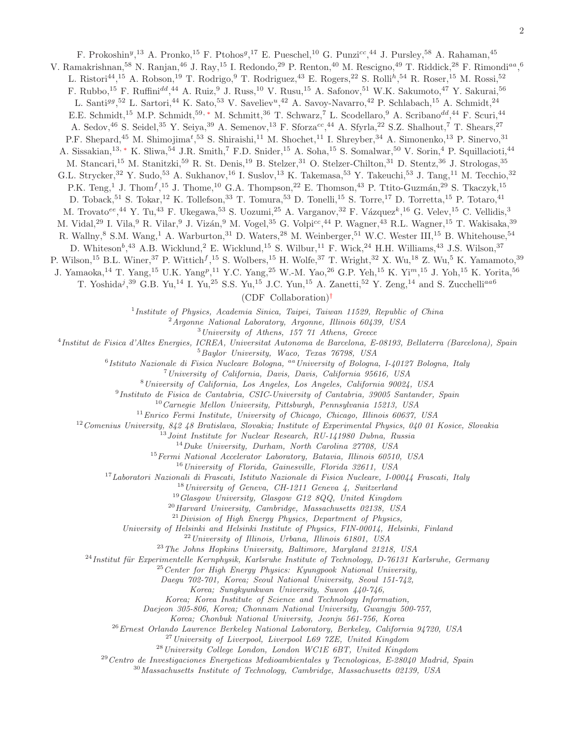F. Prokoshin<sup>y</sup>,<sup>13</sup> A. Pronko,<sup>15</sup> F. Ptohos<sup>g</sup>,<sup>17</sup> E. Pueschel,<sup>10</sup> G. Punzi<sup>cc</sup>,<sup>44</sup> J. Pursley,<sup>58</sup> A. Rahaman,<sup>45</sup> V. Ramakrishnan,  $^{58}$  N. Ranjan,  $^{46}$  J. Ray,  $^{15}$  I. Redondo,  $^{29}$  P. Renton,  $^{40}$  M. Rescigno,  $^{49}$  T. Riddick,  $^{28}$  F. Rimondi $^{aa}$ ,  $^6$ L. Ristori<sup>44</sup>,<sup>15</sup> A. Robson,<sup>19</sup> T. Rodrigo,<sup>9</sup> T. Rodriguez,<sup>43</sup> E. Rogers,<sup>22</sup> S. Rolli<sup>h</sup>,<sup>54</sup> R. Roser,<sup>15</sup> M. Rossi,<sup>52</sup> F. Rubbo,<sup>15</sup> F. Ruffini<sup>dd</sup>,<sup>44</sup> A. Ruiz,<sup>9</sup> J. Russ,<sup>10</sup> V. Rusu,<sup>15</sup> A. Safonov,<sup>51</sup> W.K. Sakumoto,<sup>47</sup> Y. Sakurai,<sup>56</sup> L. Santi<sup>gg</sup>,<sup>52</sup> L. Sartori,<sup>44</sup> K. Sato,<sup>53</sup> V. Saveliev<sup>u</sup>,<sup>42</sup> A. Savoy-Navarro,<sup>42</sup> P. Schlabach,<sup>15</sup> A. Schmidt,<sup>24</sup> E.E. Schmidt,<sup>15</sup> M.P. Schmidt,<sup>59,\*</sup> M. Schmitt,<sup>36</sup> T. Schwarz,<sup>7</sup> L. Scodellaro,<sup>9</sup> A. Scribano<sup>dd</sup>,<sup>44</sup> F. Scuri,<sup>44</sup> A. Sedov,<sup>46</sup> S. Seidel,<sup>35</sup> Y. Seiya,<sup>39</sup> A. Semenov,<sup>13</sup> F. Sforza<sup>cc</sup>,<sup>44</sup> A. Sfyrla,<sup>22</sup> S.Z. Shalhout,<sup>7</sup> T. Shears,<sup>27</sup> P.F. Shepard,<sup>45</sup> M. Shimojima<sup>t</sup>,<sup>53</sup> S. Shiraishi,<sup>11</sup> M. Shochet,<sup>11</sup> I. Shreyber,<sup>34</sup> A. Simonenko,<sup>13</sup> P. Sinervo,<sup>31</sup> A. Sissakian,<sup>13,[∗](#page-11-0)</sup> K. Sliwa,<sup>54</sup> J.R. Smith,<sup>7</sup> F.D. Snider,<sup>15</sup> A. Soha,<sup>15</sup> S. Somalwar,<sup>50</sup> V. Sorin,<sup>4</sup> P. Squillacioti,<sup>44</sup> M. Stancari,<sup>15</sup> M. Stanitzki,<sup>59</sup> R. St. Denis,<sup>19</sup> B. Stelzer,<sup>31</sup> O. Stelzer-Chilton,<sup>31</sup> D. Stentz,<sup>36</sup> J. Strologas,<sup>35</sup> G.L. Strycker,<sup>32</sup> Y. Sudo,<sup>53</sup> A. Sukhanov,<sup>16</sup> I. Suslov,<sup>13</sup> K. Takemasa,<sup>53</sup> Y. Takeuchi,<sup>53</sup> J. Tang,<sup>11</sup> M. Tecchio,<sup>32</sup> P.K. Teng,<sup>1</sup> J. Thom<sup>f</sup>,<sup>15</sup> J. Thome,<sup>10</sup> G.A. Thompson,<sup>22</sup> E. Thomson,<sup>43</sup> P. Ttito-Guzmán,<sup>29</sup> S. Tkaczyk,<sup>15</sup> D. Toback,<sup>51</sup> S. Tokar,<sup>12</sup> K. Tollefson,<sup>33</sup> T. Tomura,<sup>53</sup> D. Tonelli,<sup>15</sup> S. Torre,<sup>17</sup> D. Torretta,<sup>15</sup> P. Totaro,<sup>41</sup> M. Trovato<sup>ee</sup>,<sup>44</sup> Y. Tu,<sup>43</sup> F. Ukegawa,<sup>53</sup> S. Uozumi,<sup>25</sup> A. Varganov,<sup>32</sup> F. Vázquez<sup>k</sup>,<sup>16</sup> G. Velev,<sup>15</sup> C. Vellidis,<sup>3</sup> M. Vidal,<sup>29</sup> I. Vila,<sup>9</sup> R. Vilar,<sup>9</sup> J. Vizán,<sup>9</sup> M. Vogel,<sup>35</sup> G. Volpi<sup>cc</sup>,<sup>44</sup> P. Wagner,<sup>43</sup> R.L. Wagner,<sup>15</sup> T. Wakisaka,<sup>39</sup> R. Wallny,<sup>8</sup> S.M. Wang,<sup>1</sup> A. Warburton,<sup>31</sup> D. Waters,<sup>28</sup> M. Weinberger,<sup>51</sup> W.C. Wester III,<sup>15</sup> B. Whitehouse,<sup>54</sup> D. Whiteson<sup>b</sup>,<sup>43</sup> A.B. Wicklund,<sup>2</sup> E. Wicklund,<sup>15</sup> S. Wilbur,<sup>11</sup> F. Wick,<sup>24</sup> H.H. Williams,<sup>43</sup> J.S. Wilson,<sup>37</sup> P. Wilson,<sup>15</sup> B.L. Winer,<sup>37</sup> P. Wittich<sup>f</sup>,<sup>15</sup> S. Wolbers,<sup>15</sup> H. Wolfe,<sup>37</sup> T. Wright,<sup>32</sup> X. Wu,<sup>18</sup> Z. Wu,<sup>5</sup> K. Yamamoto,<sup>39</sup> J. Yamaoka,<sup>14</sup> T. Yang,<sup>15</sup> U.K. Yang<sup>p</sup>,<sup>11</sup> Y.C. Yang,<sup>25</sup> W.-M. Yao,<sup>26</sup> G.P. Yeh,<sup>15</sup> K. Yi<sup>m</sup>,<sup>15</sup> J. Yoh,<sup>15</sup> K. Yorita,<sup>56</sup> T. Yoshida<sup>j</sup>,<sup>39</sup> G.B. Yu,<sup>14</sup> I. Yu,<sup>25</sup> S.S. Yu,<sup>15</sup> J.C. Yun,<sup>15</sup> A. Zanetti,<sup>52</sup> Y. Zeng,<sup>14</sup> and S. Zucchelli<sup>aa6</sup> (CDF Collaboration)[†](#page-11-1)

1 *Institute of Physics, Academia Sinica, Taipei, Taiwan 11529, Republic of China*

<sup>2</sup>*Argonne National Laboratory, Argonne, Illinois 60439, USA*

<sup>3</sup>*University of Athens, 157 71 Athens, Greece*

4 *Institut de Fisica d'Altes Energies, ICREA, Universitat Autonoma de Barcelona, E-08193, Bellaterra (Barcelona), Spain*

<sup>5</sup>*Baylor University, Waco, Texas 76798, USA*

6 *Istituto Nazionale di Fisica Nucleare Bologna,* aa*University of Bologna, I-40127 Bologna, Italy*

<sup>7</sup>*University of California, Davis, Davis, California 95616, USA*

<sup>8</sup>*University of California, Los Angeles, Los Angeles, California 90024, USA*

9 *Instituto de Fisica de Cantabria, CSIC-University of Cantabria, 39005 Santander, Spain*

<sup>10</sup>*Carnegie Mellon University, Pittsburgh, Pennsylvania 15213, USA*

<sup>11</sup>*Enrico Fermi Institute, University of Chicago, Chicago, Illinois 60637, USA*

<sup>12</sup>*Comenius University, 842 48 Bratislava, Slovakia; Institute of Experimental Physics, 040 01 Kosice, Slovakia*

<sup>13</sup>*Joint Institute for Nuclear Research, RU-141980 Dubna, Russia*

<sup>14</sup>*Duke University, Durham, North Carolina 27708, USA*

<sup>15</sup>*Fermi National Accelerator Laboratory, Batavia, Illinois 60510, USA*

<sup>16</sup>*University of Florida, Gainesville, Florida 32611, USA*

<sup>17</sup>*Laboratori Nazionali di Frascati, Istituto Nazionale di Fisica Nucleare, I-00044 Frascati, Italy*

<sup>18</sup>*University of Geneva, CH-1211 Geneva 4, Switzerland*

<sup>19</sup>*Glasgow University, Glasgow G12 8QQ, United Kingdom*

<sup>20</sup>*Harvard University, Cambridge, Massachusetts 02138, USA*

<sup>21</sup>*Division of High Energy Physics, Department of Physics,*

*University of Helsinki and Helsinki Institute of Physics, FIN-00014, Helsinki, Finland*

<sup>22</sup>*University of Illinois, Urbana, Illinois 61801, USA*

<sup>23</sup>*The Johns Hopkins University, Baltimore, Maryland 21218, USA*

<sup>24</sup>*Institut für Experimentelle Kernphysik, Karlsruhe Institute of Technology, D-76131 Karlsruhe, Germany* 

<sup>25</sup>*Center for High Energy Physics: Kyungpook National University,*

*Daegu 702-701, Korea; Seoul National University, Seoul 151-742,*

*Korea; Sungkyunkwan University, Suwon 440-746,*

*Korea; Korea Institute of Science and Technology Information,*

*Daejeon 305-806, Korea; Chonnam National University, Gwangju 500-757,*

*Korea; Chonbuk National University, Jeonju 561-756, Korea*

<sup>26</sup>*Ernest Orlando Lawrence Berkeley National Laboratory, Berkeley, California 94720, USA*

<sup>27</sup>*University of Liverpool, Liverpool L69 7ZE, United Kingdom*

<sup>28</sup>*University College London, London WC1E 6BT, United Kingdom*

<sup>29</sup>*Centro de Investigaciones Energeticas Medioambientales y Tecnologicas, E-28040 Madrid, Spain*

<sup>30</sup>*Massachusetts Institute of Technology, Cambridge, Massachusetts 02139, USA*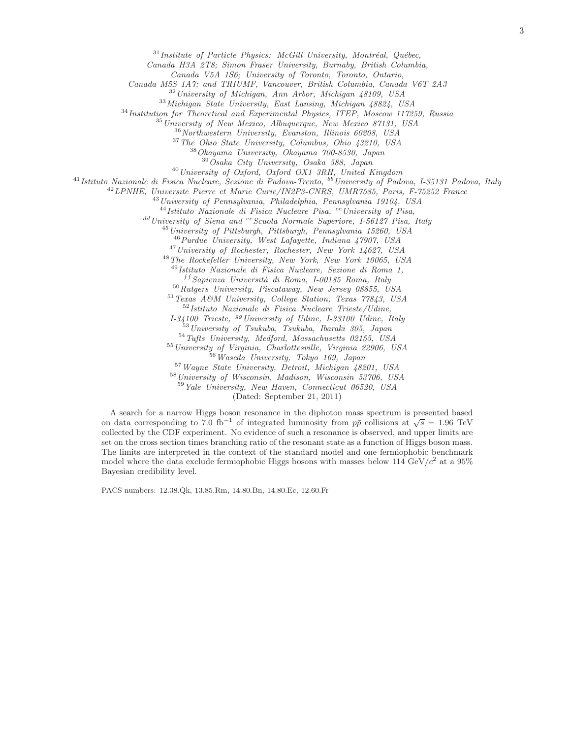<sup>31</sup>Institute of Particle Physics: McGill University, Montréal, Québec,

*Canada H3A 2T8; Simon Fraser University, Burnaby, British Columbia,*

*Canada V5A 1S6; University of Toronto, Toronto, Ontario,*

*Canada M5S 1A7; and TRIUMF, Vancouver, British Columbia, Canada V6T 2A3*

*University of Michigan, Ann Arbor, Michigan 48109, USA*

*Michigan State University, East Lansing, Michigan 48824, USA*

*Institution for Theoretical and Experimental Physics, ITEP, Moscow 117259, Russia*

*University of New Mexico, Albuquerque, New Mexico 87131, USA*

*Northwestern University, Evanston, Illinois 60208, USA*

*The Ohio State University, Columbus, Ohio 43210, USA*

*Okayama University, Okayama 700-8530, Japan*

*Osaka City University, Osaka 588, Japan*

*University of Oxford, Oxford OX1 3RH, United Kingdom*

*Istituto Nazionale di Fisica Nucleare, Sezione di Padova-Trento,* bb*University of Padova, I-35131 Padova, Italy*

*LPNHE, Universite Pierre et Marie Curie/IN2P3-CNRS, UMR7585, Paris, F-75252 France*

*University of Pennsylvania, Philadelphia, Pennsylvania 19104, USA*

<sup>44</sup> Istituto Nazionale di Fisica Nucleare Pisa, <sup>cc</sup> University of Pisa,

<sup>dd</sup> University of Siena and <sup>ee</sup> Scuola Normale Superiore, I-56127 Pisa, Italy

*University of Pittsburgh, Pittsburgh, Pennsylvania 15260, USA*

*Purdue University, West Lafayette, Indiana 47907, USA*

*University of Rochester, Rochester, New York 14627, USA*

*The Rockefeller University, New York, New York 10065, USA*

*Istituto Nazionale di Fisica Nucleare, Sezione di Roma 1,*

f f *Sapienza Universit`a di Roma, I-00185 Roma, Italy*

*Rutgers University, Piscataway, New Jersey 08855, USA*

*Texas A&M University, College Station, Texas 77843, USA Istituto Nazionale di Fisica Nucleare Trieste/Udine,*

*I-34100 Trieste,* gg*University of Udine, I-33100 Udine, Italy University of Tsukuba, Tsukuba, Ibaraki 305, Japan*

*Tufts University, Medford, Massachusetts 02155, USA*

*University of Virginia, Charlottesville, Virginia 22906, USA*

*Waseda University, Tokyo 169, Japan*

*Wayne State University, Detroit, Michigan 48201, USA University of Wisconsin, Madison, Wisconsin 53706, USA*

*Yale University, New Haven, Connecticut 06520, USA*

(Dated: September 21, 2011)

A search for a narrow Higgs boson resonance in the diphoton mass spectrum is presented based on data corresponding to 7.0 fb<sup>-1</sup> of integrated luminosity from  $p\bar{p}$  collisions at  $\sqrt{s} = 1.96$  TeV collected by the CDF experiment. No evidence of such a resonance is observed, and upper limits are set on the cross section times branching ratio of the resonant state as a function of Higgs boson mass. The limits are interpreted in the context of the standard model and one fermiophobic benchmark model where the data exclude fermiophobic Higgs bosons with masses below  $114 \text{ GeV}/c^2$  at a 95% Bayesian credibility level.

PACS numbers: 12.38.Qk, 13.85.Rm, 14.80.Bn, 14.80.Ec, 12.60.Fr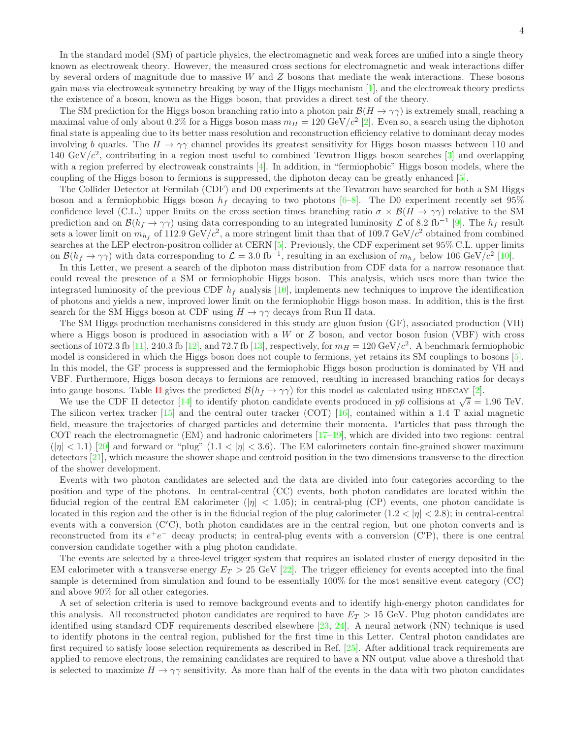In the standard model (SM) of particle physics, the electromagnetic and weak forces are unified into a single theory known as electroweak theory. However, the measured cross sections for electromagnetic and weak interactions differ by several orders of magnitude due to massive  $W$  and  $Z$  bosons that mediate the weak interactions. These bosons gain mass via electroweak symmetry breaking by way of the Higgs mechanism [\[1\]](#page-11-2), and the electroweak theory predicts the existence of a boson, known as the Higgs boson, that provides a direct test of the theory.

The SM prediction for the Higgs boson branching ratio into a photon pair  $\mathcal{B}(H \to \gamma\gamma)$  is extremely small, reaching a maximal value of only about 0.2% for a Higgs boson mass  $m_H = 120 \text{ GeV}/c^2$  [\[2](#page-11-3)]. Even so, a search using the diphoton final state is appealing due to its better mass resolution and reconstruction efficiency relative to dominant decay modes involving b quarks. The  $H \to \gamma\gamma$  channel provides its greatest sensitivity for Higgs boson masses between 110 and 140 GeV/ $c^2$ , contributing in a region most useful to combined Tevatron Higgs boson searches [\[3\]](#page-11-4) and overlapping with a region preferred by electroweak constraints [\[4](#page-11-5)]. In addition, in "fermiophobic" Higgs boson models, where the coupling of the Higgs boson to fermions is suppressed, the diphoton decay can be greatly enhanced [\[5](#page-11-6)].

The Collider Detector at Fermilab (CDF) and D0 experiments at the Tevatron have searched for both a SM Higgs boson and a fermiophobic Higgs boson  $h_f$  decaying to two photons  $[6-8]$ . The D0 experiment recently set 95% confidence level (C.L.) upper limits on the cross section times branching ratio  $\sigma \times \mathcal{B}(H \to \gamma\gamma)$  relative to the SM prediction and on  $\mathcal{B}(h_f \to \gamma \gamma)$  using data corresponding to an integrated luminosity  $\mathcal{L}$  of 8.2 fb<sup>-1</sup> [\[9\]](#page-11-9). The  $h_f$  result sets a lower limit on  $m_{h_f}$  of 112.9 GeV/ $c^2$ , a more stringent limit than that of 109.7 GeV/ $c^2$  obtained from combined searches at the LEP electron-positron collider at CERN [\[5](#page-11-6)]. Previously, the CDF experiment set 95% C.L. upper limits on  $\mathcal{B}(h_f \to \gamma\gamma)$  with data corresponding to  $\mathcal{L} = 3.0 \text{ fb}^{-1}$ , resulting in an exclusion of  $m_{h_f}$  below 106 GeV/c<sup>2</sup> [\[10](#page-11-10)].

In this Letter, we present a search of the diphoton mass distribution from CDF data for a narrow resonance that could reveal the presence of a SM or fermiophobic Higgs boson. This analysis, which uses more than twice the integrated luminosity of the previous CDF  $h_f$  analysis [\[10](#page-11-10)], implements new techniques to improve the identification of photons and yields a new, improved lower limit on the fermiophobic Higgs boson mass. In addition, this is the first search for the SM Higgs boson at CDF using  $H \to \gamma\gamma$  decays from Run II data.

The SM Higgs production mechanisms considered in this study are gluon fusion (GF), associated production (VH) where a Higgs boson is produced in association with a  $W$  or  $Z$  boson, and vector boson fusion (VBF) with cross sections of 1072.3 fb [\[11](#page-11-11)], 240.3 fb [\[12](#page-11-12)], and 72.7 fb [\[13\]](#page-11-13), respectively, for  $m_H = 120 \text{ GeV}/c^2$ . A benchmark fermiophobic model is considered in which the Higgs boson does not couple to fermions, yet retains its SM couplings to bosons [\[5\]](#page-11-6). In this model, the GF process is suppressed and the fermiophobic Higgs boson production is dominated by VH and VBF. Furthermore, Higgs boson decays to fermions are removed, resulting in increased branching ratios for decays into gauge bosons. Table [II](#page-9-0) gives the predicted  $\mathcal{B}(h_f \to \gamma\gamma)$  for this model as calculated using HDECAY [\[2](#page-11-3)].

We use the CDF II detector [\[14\]](#page-11-14) to identify photon candidate events produced in  $p\bar{p}$  collisions at  $\sqrt{s} = 1.96$  TeV. The silicon vertex tracker  $\left[15\right]$  and the central outer tracker (COT)  $\left[16\right]$ , contained within a 1.4 T axial magnetic field, measure the trajectories of charged particles and determine their momenta. Particles that pass through the COT reach the electromagnetic (EM) and hadronic calorimeters [\[17](#page-11-17)[–19](#page-11-18)], which are divided into two regions: central  $(|\eta| < 1.1)$  [\[20](#page-11-19)] and forward or "plug"  $(1.1 < |\eta| < 3.6)$ . The EM calorimeters contain fine-grained shower maximum detectors [\[21\]](#page-11-20), which measure the shower shape and centroid position in the two dimensions transverse to the direction of the shower development.

Events with two photon candidates are selected and the data are divided into four categories according to the position and type of the photons. In central-central (CC) events, both photon candidates are located within the fiducial region of the central EM calorimeter ( $|\eta| < 1.05$ ); in central-plug (CP) events, one photon candidate is located in this region and the other is in the fiducial region of the plug calorimeter  $(1.2 < |\eta| < 2.8)$ ; in central-central events with a conversion (C′C), both photon candidates are in the central region, but one photon converts and is reconstructed from its  $e^+e^-$  decay products; in central-plug events with a conversion (C'P), there is one central conversion candidate together with a plug photon candidate.

The events are selected by a three-level trigger system that requires an isolated cluster of energy deposited in the EM calorimeter with a transverse energy  $E_T > 25$  GeV [\[22\]](#page-11-21). The trigger efficiency for events accepted into the final sample is determined from simulation and found to be essentially 100% for the most sensitive event category (CC) and above 90% for all other categories.

A set of selection criteria is used to remove background events and to identify high-energy photon candidates for this analysis. All reconstructed photon candidates are required to have  $E_T > 15$  GeV. Plug photon candidates are identified using standard CDF requirements described elsewhere [\[23,](#page-11-22) [24](#page-11-23)]. A neural network (NN) technique is used to identify photons in the central region, published for the first time in this Letter. Central photon candidates are first required to satisfy loose selection requirements as described in Ref. [\[25\]](#page-11-24). After additional track requirements are applied to remove electrons, the remaining candidates are required to have a NN output value above a threshold that is selected to maximize  $H \to \gamma\gamma$  sensitivity. As more than half of the events in the data with two photon candidates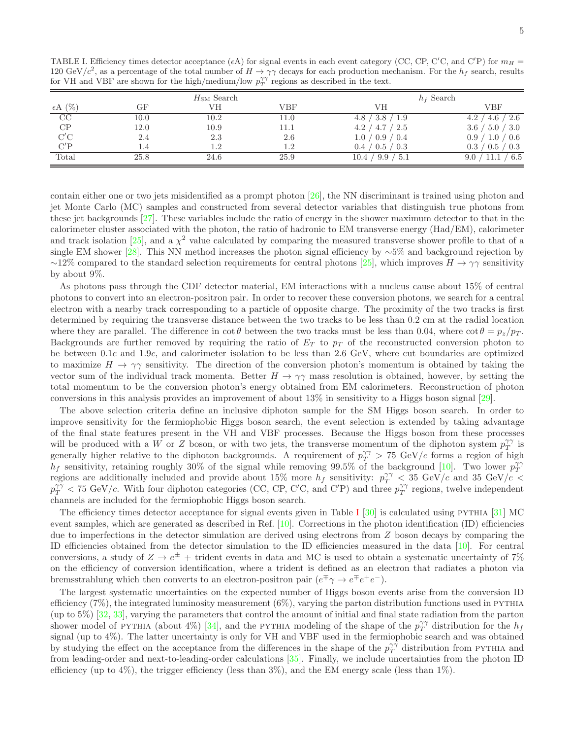<span id="page-7-0"></span>TABLE I. Efficiency times detector acceptance ( $\epsilon A$ ) for signal events in each event category (CC, CP, C'C, and C'P) for  $m_H$  = 120 GeV/c<sup>2</sup>, as a percentage of the total number of  $H \to \gamma\gamma$  decays for each production mechanism. For the  $h_f$  search, results for VH and VBF are shown for the high/medium/low  $p_T^{\gamma\gamma}$  regions as described in the text.

|                  |          | $H_{\text{SM}}$ Search |      |                                | $h_f$ Search                       |
|------------------|----------|------------------------|------|--------------------------------|------------------------------------|
| $\epsilon A$ (%) | GF       | VH                     | VBF  | VН                             | VBF                                |
| CC               | $10.0\,$ | 10.2                   | 11.0 | -1.9<br>. 3.8 $\prime$<br>4.8  | 4.6<br>-2.6<br>4.2                 |
| CP               | 12.0     | 10.9                   |      | 4.7 / 2.5<br>4.2/              | 3.6<br>$\langle 5.0 / 3.0 \rangle$ |
| C'C              | 2.4      | 2.3                    | 2.6  | 1.0 / 0.9 / 0.4                | 0.9 / 1.0 / 0.6                    |
| C'P              | 1.4      | 1.2                    | 1.2  | $\prime$ 0.5 / 0.3<br>0.4      | 0.3<br>0.5 / 0.3                   |
| Total            | 25.8     | 24.6                   | 25.9 | 9.9<br>$\degree$ 5.1<br>10.4 / | 6.5<br>11.1<br>9.0                 |

contain either one or two jets misidentified as a prompt photon [\[26\]](#page-11-25), the NN discriminant is trained using photon and jet Monte Carlo (MC) samples and constructed from several detector variables that distinguish true photons from these jet backgrounds [\[27\]](#page-11-26). These variables include the ratio of energy in the shower maximum detector to that in the calorimeter cluster associated with the photon, the ratio of hadronic to EM transverse energy (Had/EM), calorimeter and track isolation [\[25\]](#page-11-24), and a  $\chi^2$  value calculated by comparing the measured transverse shower profile to that of a single EM shower [\[28\]](#page-11-27). This NN method increases the photon signal efficiency by ∼5% and background rejection by  $\sim$ 12% compared to the standard selection requirements for central photons [\[25\]](#page-11-24), which improves  $H \to \gamma\gamma$  sensitivity by about 9%.

As photons pass through the CDF detector material, EM interactions with a nucleus cause about 15% of central photons to convert into an electron-positron pair. In order to recover these conversion photons, we search for a central electron with a nearby track corresponding to a particle of opposite charge. The proximity of the two tracks is first determined by requiring the transverse distance between the two tracks to be less than 0.2 cm at the radial location where they are parallel. The difference in  $\cot \theta$  between the two tracks must be less than 0.04, where  $\cot \theta = p_z/p_T$ . Backgrounds are further removed by requiring the ratio of  $E_T$  to  $p_T$  of the reconstructed conversion photon to be between 0.1c and 1.9c, and calorimeter isolation to be less than 2.6 GeV, where cut boundaries are optimized to maximize  $H \to \gamma\gamma$  sensitivity. The direction of the conversion photon's momentum is obtained by taking the vector sum of the individual track momenta. Better  $H \to \gamma\gamma$  mass resolution is obtained, however, by setting the total momentum to be the conversion photon's energy obtained from EM calorimeters. Reconstruction of photon conversions in this analysis provides an improvement of about 13% in sensitivity to a Higgs boson signal [\[29\]](#page-11-28).

The above selection criteria define an inclusive diphoton sample for the SM Higgs boson search. In order to improve sensitivity for the fermiophobic Higgs boson search, the event selection is extended by taking advantage of the final state features present in the VH and VBF processes. Because the Higgs boson from these processes will be produced with a W or Z boson, or with two jets, the transverse momentum of the diphoton system  $p_T^{\gamma\gamma}$  is generally higher relative to the diphoton backgrounds. A requirement of  $p_T^{\gamma\gamma} > 75 \text{ GeV}/c$  forms a region of high  $h_f$  sensitivity, retaining roughly 30% of the signal while removing 99.5% of the background [\[10\]](#page-11-10). Two lower  $p_T^{\gamma\gamma}$ regions are additionally included and provide about 15% more  $h_f$  sensitivity:  $p_T^{\gamma\gamma} < 35 \text{ GeV}/c$  and 35 GeV/c  $p_T^{\gamma\gamma}$  < 75 GeV/c. With four diphoton categories (CC, CP, C'C, and C'P) and three  $p_T^{\gamma\gamma}$  regions, twelve independent channels are included for the fermiophobic Higgs boson search.

The efficiency times detector acceptance for signal events given in Table [I](#page-7-0)  $[30]$  is calculated using PYTHIA  $[31]$  MC event samples, which are generated as described in Ref.  $[10]$ . Corrections in the photon identification  $(ID)$  efficiencies due to imperfections in the detector simulation are derived using electrons from Z boson decays by comparing the ID efficiencies obtained from the detector simulation to the ID efficiencies measured in the data [\[10](#page-11-10)]. For central conversions, a study of  $Z \to e^{\pm}$  + trident events in data and MC is used to obtain a systematic uncertainty of 7% on the efficiency of conversion identification, where a trident is defined as an electron that radiates a photon via bremsstrahlung which then converts to an electron-positron pair  $(e^{\mp} \gamma \to e^{\mp} e^+ e^-)$ .

The largest systematic uncertainties on the expected number of Higgs boson events arise from the conversion ID efficiency  $(7\%)$ , the integrated luminosity measurement  $(6\%)$ , varying the parton distribution functions used in PYTHIA (up to 5%) [\[32,](#page-11-31) [33\]](#page-12-0), varying the parameters that control the amount of initial and final state radiation from the parton shower model of PYTHIA (about 4%) [\[34](#page-12-1)], and the PYTHIA modeling of the shape of the  $p_T^{\gamma\gamma}$  distribution for the  $h_f$ signal (up to 4%). The latter uncertainty is only for VH and VBF used in the fermiophobic search and was obtained by studying the effect on the acceptance from the differences in the shape of the  $p_T^{\gamma\gamma}$  distribution from PYTHIA and from leading-order and next-to-leading-order calculations [\[35\]](#page-12-2). Finally, we include uncertainties from the photon ID efficiency (up to 4%), the trigger efficiency (less than  $3\%$ ), and the EM energy scale (less than  $1\%$ ).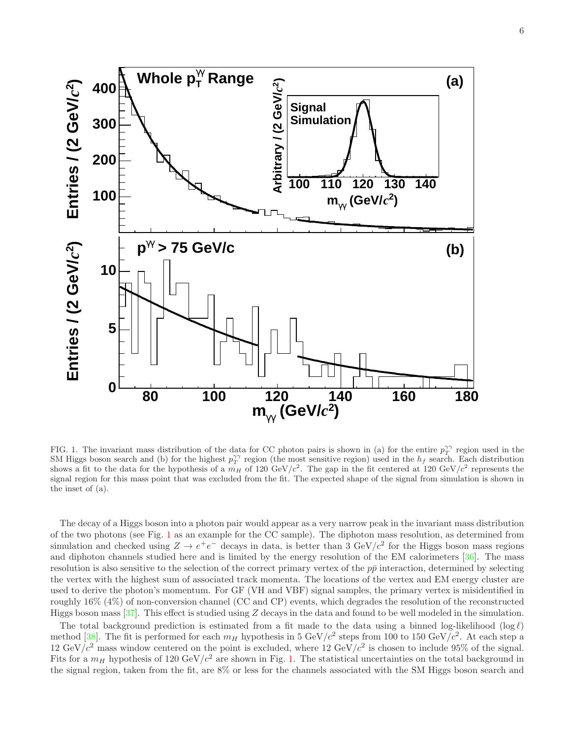

<span id="page-8-0"></span>FIG. 1. The invariant mass distribution of the data for CC photon pairs is shown in (a) for the entire  $p_T^{\gamma\gamma}$  region used in the SM Higgs boson search and (b) for the highest  $p_T^{\gamma\gamma}$  region (the most sensitive region) used in the  $h_f$  search. Each distribution shows a fit to the data for the hypothesis of a  $m_H$  of 120 GeV/ $c^2$ . The gap in the fit centered at 120 GeV/ $c^2$  represents the signal region for this mass point that was excluded from the fit. The expected shape of the signal from simulation is shown in the inset of (a).

The decay of a Higgs boson into a photon pair would appear as a very narrow peak in the invariant mass distribution of the two photons (see Fig. [1](#page-8-0) as an example for the CC sample). The diphoton mass resolution, as determined from simulation and checked using  $Z \to e^+e^-$  decays in data, is better than 3 GeV/ $c^2$  for the Higgs boson mass regions and diphoton channels studied here and is limited by the energy resolution of the EM calorimeters [\[36\]](#page-12-3). The mass resolution is also sensitive to the selection of the correct primary vertex of the  $p\bar{p}$  interaction, determined by selecting the vertex with the highest sum of associated track momenta. The locations of the vertex and EM energy cluster are used to derive the photon's momentum. For GF (VH and VBF) signal samples, the primary vertex is misidentified in roughly 16% (4%) of non-conversion channel (CC and CP) events, which degrades the resolution of the reconstructed Higgs boson mass  $[37]$ . This effect is studied using Z decays in the data and found to be well modeled in the simulation.

The total background prediction is estimated from a fit made to the data using a binned log-likelihood (log  $\ell$ ) method [\[38\]](#page-12-5). The fit is performed for each  $m_H$  hypothesis in 5 GeV/ $c^2$  steps from 100 to 150 GeV/ $c^2$ . At each step a 12 GeV/ $c^2$  mass window centered on the point is excluded, where 12 GeV/ $c^2$  is chosen to include 95% of the signal. Fits for a  $m_H$  hypothesis of 120 GeV/ $c^2$  are shown in Fig. [1.](#page-8-0) The statistical uncertainties on the total background in the signal region, taken from the fit, are 8% or less for the channels associated with the SM Higgs boson search and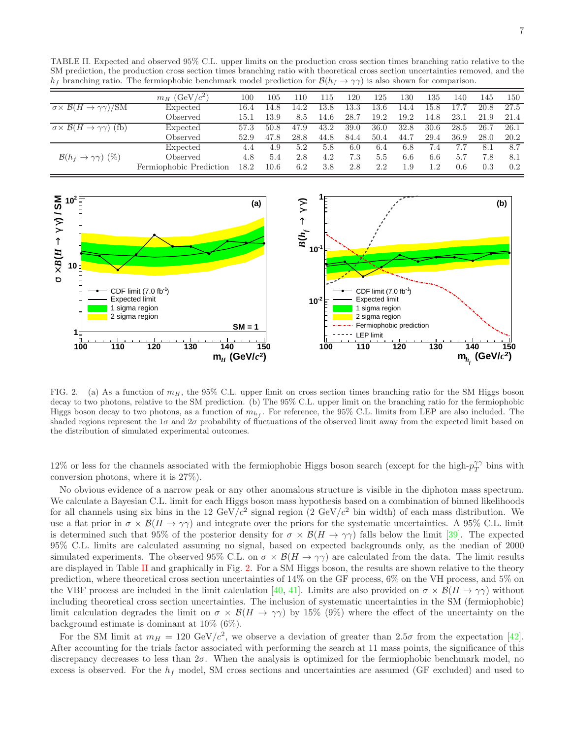<span id="page-9-0"></span>TABLE II. Expected and observed 95% C.L. upper limits on the production cross section times branching ratio relative to the SM prediction, the production cross section times branching ratio with theoretical cross section uncertainties removed, and the  $h_f$  branching ratio. The fermiophobic benchmark model prediction for  $\mathcal{B}(h_f \to \gamma \gamma)$  is also shown for comparison.

|                                                            | $m_H~(\text{GeV}/c^2)$  | 100  | 105  | 110  | 115  | 120  | 125  | 130  | 135  | 140  | 145  | 150  |
|------------------------------------------------------------|-------------------------|------|------|------|------|------|------|------|------|------|------|------|
| $\sigma \times \mathcal{B}(H \to \gamma \gamma)/\text{SM}$ | Expected                | 16.4 | 14.8 | 14.2 | 13.8 | 13.3 | 13.6 | 14.4 | 15.8 | 17.7 | 20.8 | 27.5 |
|                                                            | Observed                | 15.1 | 13.9 | 8.5  | 14.6 | 28.7 | 19.2 | 19.2 | 14.8 | 23.1 | 21.9 | 21.4 |
| $\sigma \times \mathcal{B}(H \to \gamma \gamma)$ (fb)      | Expected                | 57.3 | 50.8 | 47.9 | 43.2 | 39.0 | 36.0 | 32.8 | 30.6 | 28.5 | 26.7 | 26.1 |
|                                                            | Observed                | 52.9 | 47.8 | 28.8 | 44.8 | 84.4 | 50.4 | 44.7 | 29.4 | 36.9 | 28.0 | 20.2 |
|                                                            | Expected                | 4.4  | 4.9  | 5.2  | 5.8  | 6.0  | 6.4  | 6.8  | 7.4  | 7.7  | 8.1  | 8.7  |
| $\mathcal{B}(h_f \to \gamma \gamma)$ (%)                   | Observed                | 4.8  | 5.4  | 2.8  | 4.2  | 7.3  | 5.5  | 6.6  | 6.6  | 5.7  | 7.8  | 8.1  |
|                                                            | Fermiophobic Prediction | 18.2 | 10.6 | 6.2  | 3.8  | 2.8  | 2.2  | 1.9  | 1.2  | 0.6  | 0.3  | 0.2  |



<span id="page-9-1"></span>FIG. 2. (a) As a function of  $m<sub>H</sub>$ , the 95% C.L. upper limit on cross section times branching ratio for the SM Higgs boson decay to two photons, relative to the SM prediction. (b) The 95% C.L. upper limit on the branching ratio for the fermiophobic Higgs boson decay to two photons, as a function of  $m_{h_f}$ . For reference, the 95% C.L. limits from LEP are also included. The shaded regions represent the  $1\sigma$  and  $2\sigma$  probability of fluctuations of the observed limit away from the expected limit based on the distribution of simulated experimental outcomes.

12% or less for the channels associated with the fermiophobic Higgs boson search (except for the high- $p_T^{\gamma\gamma}$  bins with conversion photons, where it is 27%).

No obvious evidence of a narrow peak or any other anomalous structure is visible in the diphoton mass spectrum. We calculate a Bayesian C.L. limit for each Higgs boson mass hypothesis based on a combination of binned likelihoods for all channels using six bins in the 12 GeV/ $c^2$  signal region (2 GeV/ $c^2$  bin width) of each mass distribution. We use a flat prior in  $\sigma \times \mathcal{B}(H \to \gamma\gamma)$  and integrate over the priors for the systematic uncertainties. A 95% C.L. limit is determined such that 95% of the posterior density for  $\sigma \times \mathcal{B}(H \to \gamma\gamma)$  falls below the limit [\[39](#page-12-6)]. The expected 95% C.L. limits are calculated assuming no signal, based on expected backgrounds only, as the median of 2000 simulated experiments. The observed 95% C.L. on  $\sigma \times \mathcal{B}(H \to \gamma\gamma)$  are calculated from the data. The limit results are displayed in Table [II](#page-9-0) and graphically in Fig. [2.](#page-9-1) For a SM Higgs boson, the results are shown relative to the theory prediction, where theoretical cross section uncertainties of 14% on the GF process, 6% on the VH process, and 5% on the VBF process are included in the limit calculation [\[40,](#page-12-7) [41\]](#page-12-8). Limits are also provided on  $\sigma \times \mathcal{B}(H \to \gamma\gamma)$  without including theoretical cross section uncertainties. The inclusion of systematic uncertainties in the SM (fermiophobic) limit calculation degrades the limit on  $\sigma \times \mathcal{B}(H \to \gamma\gamma)$  by 15% (9%) where the effect of the uncertainty on the background estimate is dominant at 10% (6%).

For the SM limit at  $m_H = 120 \text{ GeV}/c^2$ , we observe a deviation of greater than  $2.5\sigma$  from the expectation [\[42\]](#page-12-9). After accounting for the trials factor associated with performing the search at 11 mass points, the significance of this discrepancy decreases to less than  $2\sigma$ . When the analysis is optimized for the fermiophobic benchmark model, no excess is observed. For the  $h_f$  model, SM cross sections and uncertainties are assumed (GF excluded) and used to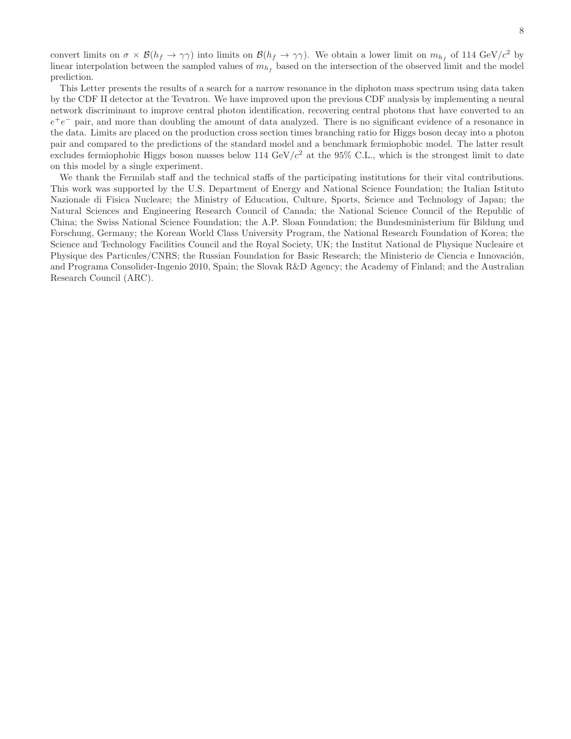convert limits on  $\sigma \times \mathcal{B}(h_f \to \gamma\gamma)$  into limits on  $\mathcal{B}(h_f \to \gamma\gamma)$ . We obtain a lower limit on  $m_{h_f}$  of 114 GeV/c<sup>2</sup> by linear interpolation between the sampled values of  $m_{h_f}$  based on the intersection of the observed limit and the model prediction.

This Letter presents the results of a search for a narrow resonance in the diphoton mass spectrum using data taken by the CDF II detector at the Tevatron. We have improved upon the previous CDF analysis by implementing a neural network discriminant to improve central photon identification, recovering central photons that have converted to an  $e^+e^-$  pair, and more than doubling the amount of data analyzed. There is no significant evidence of a resonance in the data. Limits are placed on the production cross section times branching ratio for Higgs boson decay into a photon pair and compared to the predictions of the standard model and a benchmark fermiophobic model. The latter result excludes fermiophobic Higgs boson masses below 114 GeV/ $c<sup>2</sup>$  at the 95% C.L., which is the strongest limit to date on this model by a single experiment.

We thank the Fermilab staff and the technical staffs of the participating institutions for their vital contributions. This work was supported by the U.S. Department of Energy and National Science Foundation; the Italian Istituto Nazionale di Fisica Nucleare; the Ministry of Education, Culture, Sports, Science and Technology of Japan; the Natural Sciences and Engineering Research Council of Canada; the National Science Council of the Republic of China; the Swiss National Science Foundation; the A.P. Sloan Foundation; the Bundesministerium für Bildung und Forschung, Germany; the Korean World Class University Program, the National Research Foundation of Korea; the Science and Technology Facilities Council and the Royal Society, UK; the Institut National de Physique Nucleaire et Physique des Particules/CNRS; the Russian Foundation for Basic Research; the Ministerio de Ciencia e Innovación, and Programa Consolider-Ingenio 2010, Spain; the Slovak R&D Agency; the Academy of Finland; and the Australian Research Council (ARC).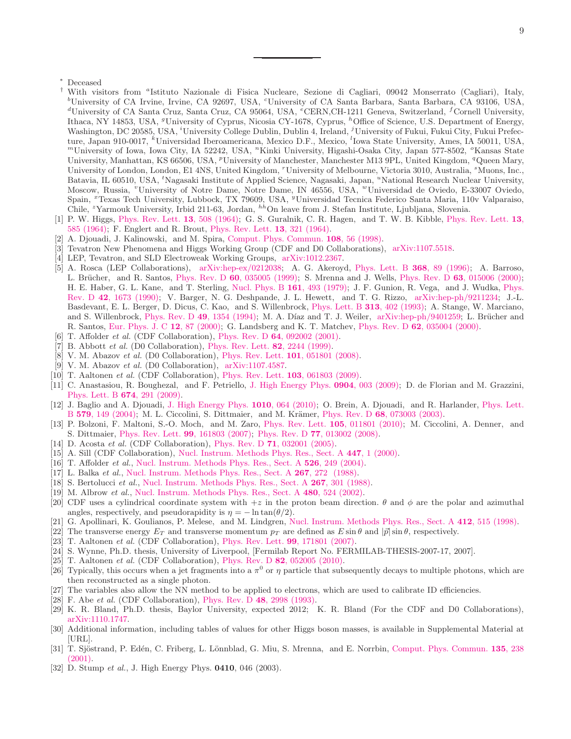- <span id="page-11-1"></span><span id="page-11-0"></span><sup>†</sup> With visitors from <sup>a</sup>Istituto Nazionale di Fisica Nucleare, Sezione di Cagliari, 09042 Monserrato (Cagliari), Italy, <sup>b</sup>University of CA Irvine, Irvine, CA 92697, USA, <sup>c</sup>University of CA Santa Barbara, Santa Barbara, CA 93106, USA, <sup>d</sup>University of CA Santa Cruz, Santa Cruz, CA 95064, USA, <sup>e</sup>CERN,CH-1211 Geneva, Switzerland, <sup>f</sup>Cornell University, Ithaca, NY 14853, USA, <sup>g</sup>University of Cyprus, Nicosia CY-1678, Cyprus, <sup>h</sup>Office of Science, U.S. Department of Energy, Washington, DC 20585, USA, <sup>*i*</sup>University College Dublin, Dublin 4, Ireland, <sup>*j*</sup>University of Fukui, Fukui City, Fukui Prefecture, Japan 910-0017, <sup>k</sup>Universidad Iberoamericana, Mexico D.F., Mexico, <sup>l</sup>Iowa State University, Ames, IA 50011, USA, <sup>m</sup>University of Iowa, Iowa City, IA 52242, USA, "Kinki University, Higashi-Osaka City, Japan 577-8502, "Kansas State University, Manhattan, KS 66506, USA, <sup>p</sup>University of Manchester, Manchester M13 9PL, United Kingdom, <sup>q</sup>Queen Mary, University of London, London, E1 4NS, United Kingdom, "University of Melbourne, Victoria 3010, Australia, "Muons, Inc., Batavia, IL 60510, USA, <sup>t</sup>Nagasaki Institute of Applied Science, Nagasaki, Japan, "National Research Nuclear University, Moscow, Russia, "University of Notre Dame, Notre Dame, IN 46556, USA, "Universidad de Oviedo, E-33007 Oviedo, Spain, <sup>x</sup>Texas Tech University, Lubbock, TX 79609, USA, <sup>y</sup>Universidad Tecnica Federico Santa Maria, 110v Valparaiso,  $\tilde{\text{Chile}},$ <sup>2</sup>Yarmouk University, Irbid 211-63, Jordan, <sup>hh</sup>On leave from J. Stefan Institute, Ljubljana, Slovenia.
- <span id="page-11-2"></span>[1] P. W. Higgs, [Phys. Rev. Lett.](http://dx.doi.org/10.1103/PhysRevLett.13.508) 13, 508 (1964); G. S. Guralnik, C. R. Hagen, and T. W. B. Kibble, Phys. Rev. Lett. 13, 585 (1964); F. Englert and R. Brout, [Phys. Rev. Lett.](http://dx.doi.org/10.1103/PhysRevLett.13.321) 13, 321 (1964).
- <span id="page-11-3"></span>[2] A. Djouadi, J. Kalinowski, and M. Spira, [Comput. Phys. Commun.](http://dx.doi.org/10.1016/S0010-4655(97)00123-9) 108, 56 (1998).
- <span id="page-11-4"></span>[3] Tevatron New Phenomena and Higgs Working Group (CDF and D0 Collaborations), [arXiv:1107.5518.](http://arxiv.org/abs/1107.5518)
- <span id="page-11-5"></span>[4] LEP, Tevatron, and SLD Electroweak Working Groups, [arXiv:1012.2367.](http://arxiv.org/abs/1012.2367)
- <span id="page-11-6"></span>[5] A. Rosca (LEP Collaborations), [arXiv:hep-ex/0212038;](http://arxiv.org/abs/hep-ex/0212038) A. G. Akeroyd, [Phys. Lett. B](http://dx.doi.org/10.1016/0370-2693(95)01478-0) 368, 89 (1996); A. Barroso, L. Brücher, and R. Santos, Phys. Rev. D 60[, 035005 \(1999\);](http://dx.doi.org/10.1103/PhysRevD.60.035005) S. Mrenna and J. Wells, Phys. Rev. D 63[, 015006 \(2000\);](http://dx.doi.org/10.1103/PhysRevD.63.015006) H. E. Haber, G. L. Kane, and T. Sterling, [Nucl. Phys. B](http://dx.doi.org/10.1016/0550-3213(79)90225-6) 161, 493 (1979); J. F. Gunion, R. Vega, and J. Wudka, Phys. Rev. D 42, 1673 (1990); V. Barger, N. G. Deshpande, J. L. Hewett, and T. G. Rizzo, [arXiv:hep-ph/9211234;](http://arxiv.org/abs/hep-ph/9211234) J.-L. Basdevant, E. L. Berger, D. Dicus, C. Kao, and S. Willenbrock, [Phys. Lett. B](http://dx.doi.org/10.1016/0370-2693(93)90010-F) 313, 402 (1993); A. Stange, W. Marciano, and S. Willenbrock, Phys. Rev. D 49[, 1354 \(1994\);](http://dx.doi.org/10.1103/PhysRevD.49.1354) M. A. Díaz and T. J. Weiler, [arXiv:hep-ph/9401259;](http://arxiv.org/abs/hep-ph/9401259) L. Brücher and R. Santos, [Eur. Phys. J. C](http://dx.doi.org/10.1007/s100529900252) 12, 87 (2000); G. Landsberg and K. T. Matchev, Phys. Rev. D 62[, 035004 \(2000\).](http://dx.doi.org/10.1103/PhysRevD.62.035004)
- <span id="page-11-7"></span>[6] T. Affolder *et al.* (CDF Collaboration), Phys. Rev. D **64**[, 092002 \(2001\).](http://dx.doi.org/10.1103/PhysRevD.64.092002)
- [7] B. Abbott *et al.* (D0 Collaboration), [Phys. Rev. Lett.](http://dx.doi.org/10.1103/PhysRevLett.82.2244) 82, 2244 (1999).
- <span id="page-11-8"></span>[8] V. M. Abazov *et al.* (D0 Collaboration), [Phys. Rev. Lett.](http://dx.doi.org/10.1103/PhysRevLett.101.051801) 101, 051801 (2008).
- <span id="page-11-9"></span>[9] V. M. Abazov *et al.* (D0 Collaboration), [arXiv:1107.4587.](http://arxiv.org/abs/1107.4587)
- <span id="page-11-10"></span>[10] T. Aaltonen *et al.* (CDF Collaboration), [Phys. Rev. Lett.](http://dx.doi.org/10.1103/PhysRevLett.103.061803) 103, 061803 (2009).
- <span id="page-11-11"></span>[11] C. Anastasiou, R. Boughezal, and F. Petriello, [J. High Energy Phys.](http://dx.doi.org/10.1088/1126-6708/2009/04/003) 0904, 003 (2009); D. de Florian and M. Grazzini, [Phys. Lett. B](http://dx.doi.org/10.1016/j.physletb.2009.03.033) 674, 291 (2009).
- <span id="page-11-12"></span>[12] J. Baglio and A. Djouadi, [J. High Energy Phys.](http://dx.doi.org/10.1007/JHEP10(2010)064) 1010, 064 (2010); O. Brein, A. Djouadi, and R. Harlander, Phys. Lett. B 579, 149 (2004); M. L. Ciccolini, S. Dittmaier, and M. Krämer, Phys. Rev. D [68](http://dx.doi.org/10.1016/j.physletb.2003.10.112)[, 073003 \(2003\).](http://dx.doi.org/10.1103/PhysRevD.68.073003)
- <span id="page-11-13"></span>[13] P. Bolzoni, F. Maltoni, S.-O. Moch, and M. Zaro, [Phys. Rev. Lett.](http://dx.doi.org/10.1103/PhysRevLett.105.011801) **105**, 011801 (2010); M. Ciccolini, A. Denner, and S. Dittmaier, [Phys. Rev. Lett.](http://dx.doi.org/10.1103/PhysRevLett.99.161803) 99, 161803 (2007); Phys. Rev. D 77[, 013002 \(2008\).](http://dx.doi.org/10.1103/PhysRevD.77.013002)
- <span id="page-11-14"></span>[14] D. Acosta *et al.* (CDF Collaboration), Phys. Rev. D 71[, 032001 \(2005\).](http://dx.doi.org/10.1103/PhysRevD.71.032001)
- <span id="page-11-15"></span>[15] A. Sill (CDF Collaboration), [Nucl. Instrum. Methods Phys. Res., Sect. A](http://dx.doi.org/10.1016/S0168-9002(00)00166-2) 447, 1 (2000).
- <span id="page-11-16"></span>[16] T. Affolder *et al.*, [Nucl. Instrum. Methods Phys. Res., Sect. A](http://dx.doi.org/10.1016/j.nima.2004.02.020) 526, 249 (2004).
- <span id="page-11-17"></span>[17] L. Balka *et al.*, [Nucl. Instrum. Methods Phys. Res., Sect. A](http://dx.doi.org/10.1016/0168-9002(88)90474-3) 267, 272 (1988).
- [18] S. Bertolucci *et al.*, [Nucl. Instrum. Methods Phys. Res., Sect. A](http://dx.doi.org/10.1016/0168-9002(88)90476-7) 267, 301 (1988).
- <span id="page-11-18"></span>[19] M. Albrow *et al.*, [Nucl. Instrum. Methods Phys. Res., Sect. A](http://dx.doi.org/10.1016/S0168-9002(01)01238-4) 480, 524 (2002).
- <span id="page-11-19"></span>[20] CDF uses a cylindrical coordinate system with  $+z$  in the proton beam direction.  $\theta$  and  $\phi$  are the polar and azimuthal angles, respectively, and pseudorapidity is  $\eta = -\ln \tan(\theta/2)$ .
- <span id="page-11-20"></span>[21] G. Apollinari, K. Goulianos, P. Melese, and M. Lindgren, [Nucl. Instrum. Methods Phys. Res., Sect. A](http://dx.doi.org/10.1016/S0168-9002(98)00286-1) 412, 515 (1998).
- <span id="page-11-21"></span>[22] The transverse energy  $E_T$  and transverse momentum  $p_T$  are defined as  $E \sin \theta$  and  $|\vec{p}| \sin \theta$ , respectively.
- <span id="page-11-22"></span>[23] T. Aaltonen *et al.* (CDF Collaboration), [Phys. Rev. Lett.](http://dx.doi.org/10.1103/PhysRevLett.99.171801) **99**, 171801 (2007).
- <span id="page-11-23"></span>[24] S. Wynne, Ph.D. thesis, University of Liverpool, [Fermilab Report No. FERMILAB-THESIS-2007-17, 2007].
- <span id="page-11-24"></span>[25] T. Aaltonen *et al.* (CDF Collaboration), Phys. Rev. D 82[, 052005 \(2010\).](http://dx.doi.org/10.1103/PhysRevD.82.052005)
- <span id="page-11-25"></span>[26] Typically, this occurs when a jet fragments into a  $\pi^0$  or  $\eta$  particle that subsequently decays to multiple photons, which are then reconstructed as a single photon.
- <span id="page-11-26"></span>[27] The variables also allow the NN method to be applied to electrons, which are used to calibrate ID efficiencies.
- <span id="page-11-27"></span>[28] F. Abe *et al.* (CDF Collaboration), Phys. Rev. D 48[, 2998 \(1993\).](http://dx.doi.org/10.1103/PhysRevD.48.2998)
- <span id="page-11-28"></span>[29] K. R. Bland, Ph.D. thesis, Baylor University, expected 2012; K. R. Bland (For the CDF and D0 Collaborations), [arXiv:1110.1747.](http://arxiv.org/abs/1110.1747)
- <span id="page-11-29"></span>[30] Additional information, including tables of values for other Higgs boson masses, is available in Supplemental Material at [URL].
- <span id="page-11-30"></span>[31] T. Sjöstrand, P. Edén, C. Friberg, L. Lönnblad, G. Miu, S. Mrenna, and E. Norrbin, Comput. Phys. Commun. 135, 238 (2001).
- <span id="page-11-31"></span>[32] D. Stump *et al.*, J. High Energy Phys. 0410, 046 (2003).